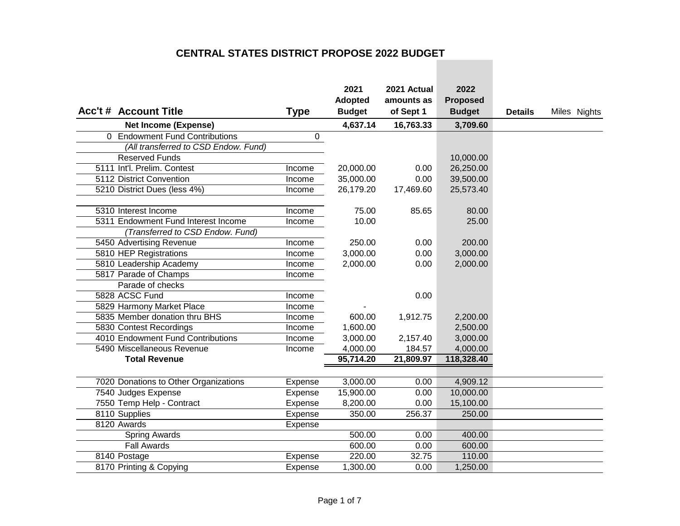|                                       |             | 2021           | 2021 Actual | 2022            |                |              |
|---------------------------------------|-------------|----------------|-------------|-----------------|----------------|--------------|
|                                       |             | <b>Adopted</b> | amounts as  | <b>Proposed</b> |                |              |
| <b>Acc't # Account Title</b>          | <b>Type</b> | <b>Budget</b>  | of Sept 1   | <b>Budget</b>   | <b>Details</b> | Miles Nights |
| <b>Net Income (Expense)</b>           |             | 4,637.14       | 16,763.33   | 3,709.60        |                |              |
| 0 Endowment Fund Contributions        | $\mathbf 0$ |                |             |                 |                |              |
| (All transferred to CSD Endow. Fund)  |             |                |             |                 |                |              |
| <b>Reserved Funds</b>                 |             |                |             | 10,000.00       |                |              |
| 5111 Int'l. Prelim. Contest           | Income      | 20,000.00      | 0.00        | 26,250.00       |                |              |
| 5112 District Convention              | Income      | 35,000.00      | 0.00        | 39,500.00       |                |              |
| 5210 District Dues (less 4%)          | Income      | 26,179.20      | 17,469.60   | 25,573.40       |                |              |
| 5310 Interest Income                  | Income      | 75.00          | 85.65       | 80.00           |                |              |
| 5311 Endowment Fund Interest Income   | Income      | 10.00          |             | 25.00           |                |              |
| (Transferred to CSD Endow. Fund)      |             |                |             |                 |                |              |
| 5450 Advertising Revenue              | Income      | 250.00         | 0.00        | 200.00          |                |              |
| 5810 HEP Registrations                | Income      | 3,000.00       | 0.00        | 3,000.00        |                |              |
| 5810 Leadership Academy               | Income      | 2,000.00       | 0.00        | 2,000.00        |                |              |
| 5817 Parade of Champs                 | Income      |                |             |                 |                |              |
| Parade of checks                      |             |                |             |                 |                |              |
| 5828 ACSC Fund                        | Income      |                | 0.00        |                 |                |              |
| 5829 Harmony Market Place             | Income      |                |             |                 |                |              |
| 5835 Member donation thru BHS         | Income      | 600.00         | 1,912.75    | 2,200.00        |                |              |
| 5830 Contest Recordings               | Income      | 1,600.00       |             | 2,500.00        |                |              |
| 4010 Endowment Fund Contributions     | Income      | 3,000.00       | 2,157.40    | 3,000.00        |                |              |
| 5490 Miscellaneous Revenue            | Income      | 4,000.00       | 184.57      | 4,000.00        |                |              |
| <b>Total Revenue</b>                  |             | 95,714.20      | 21,809.97   | 118,328.40      |                |              |
|                                       |             |                |             |                 |                |              |
| 7020 Donations to Other Organizations | Expense     | 3,000.00       | 0.00        | 4,909.12        |                |              |
| 7540 Judges Expense                   | Expense     | 15,900.00      | 0.00        | 10,000.00       |                |              |
| 7550 Temp Help - Contract             | Expense     | 8,200.00       | 0.00        | 15,100.00       |                |              |
| 8110 Supplies                         | Expense     | 350.00         | 256.37      | 250.00          |                |              |
| 8120 Awards                           | Expense     |                |             |                 |                |              |
| Spring Awards                         |             | 500.00         | 0.00        | 400.00          |                |              |
| <b>Fall Awards</b>                    |             | 600.00         | 0.00        | 600.00          |                |              |
| 8140 Postage                          | Expense     | 220.00         | 32.75       | 110.00          |                |              |
| 8170 Printing & Copying               | Expense     | 1,300.00       | 0.00        | 1,250.00        |                |              |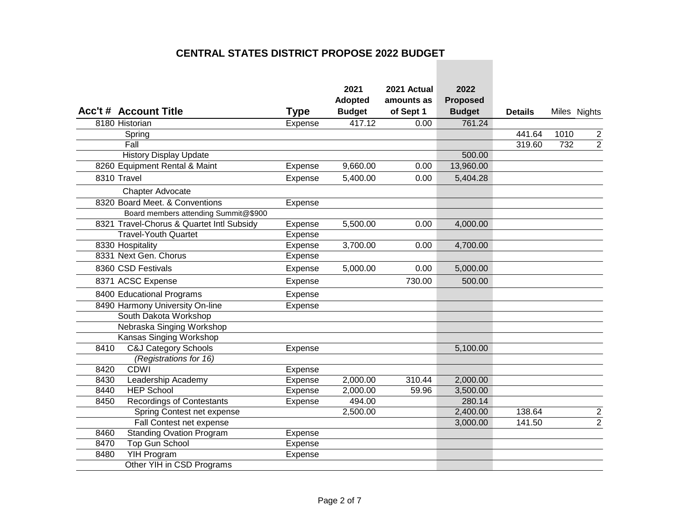| <b>Acc't # Account Title</b>              | <b>Type</b> | 2021<br>Adopted<br><b>Budget</b> | 2021 Actual<br>amounts as<br>of Sept 1 | 2022<br><b>Proposed</b><br><b>Budget</b> | <b>Details</b> | Miles Nights |                |
|-------------------------------------------|-------------|----------------------------------|----------------------------------------|------------------------------------------|----------------|--------------|----------------|
| 8180 Historian                            | Expense     | 417.12                           | 0.00                                   | 761.24                                   |                |              |                |
| Spring                                    |             |                                  |                                        |                                          | 441.64         | 1010         | $\overline{2}$ |
| Fall                                      |             |                                  |                                        |                                          | 319.60         | 732          | $\overline{2}$ |
| <b>History Display Update</b>             |             |                                  |                                        | 500.00                                   |                |              |                |
| 8260 Equipment Rental & Maint             | Expense     | 9,660.00                         | 0.00                                   | 13,960.00                                |                |              |                |
| 8310 Travel                               | Expense     | 5,400.00                         | 0.00                                   | 5,404.28                                 |                |              |                |
| Chapter Advocate                          |             |                                  |                                        |                                          |                |              |                |
| 8320 Board Meet, & Conventions            | Expense     |                                  |                                        |                                          |                |              |                |
| Board members attending Summit@\$900      |             |                                  |                                        |                                          |                |              |                |
| 8321 Travel-Chorus & Quartet Intl Subsidy | Expense     | 5,500.00                         | 0.00                                   | 4,000.00                                 |                |              |                |
| <b>Travel-Youth Quartet</b>               | Expense     |                                  |                                        |                                          |                |              |                |
| 8330 Hospitality                          | Expense     | 3,700.00                         | 0.00                                   | 4,700.00                                 |                |              |                |
| 8331 Next Gen. Chorus                     | Expense     |                                  |                                        |                                          |                |              |                |
| 8360 CSD Festivals                        | Expense     | 5,000.00                         | 0.00                                   | 5,000.00                                 |                |              |                |
| 8371 ACSC Expense                         | Expense     |                                  | 730.00                                 | 500.00                                   |                |              |                |
| 8400 Educational Programs                 | Expense     |                                  |                                        |                                          |                |              |                |
| 8490 Harmony University On-line           | Expense     |                                  |                                        |                                          |                |              |                |
| South Dakota Workshop                     |             |                                  |                                        |                                          |                |              |                |
| Nebraska Singing Workshop                 |             |                                  |                                        |                                          |                |              |                |
| <b>Kansas Singing Workshop</b>            |             |                                  |                                        |                                          |                |              |                |
| <b>C&amp;J Category Schools</b><br>8410   | Expense     |                                  |                                        | 5,100.00                                 |                |              |                |
| (Registrations for 16)                    |             |                                  |                                        |                                          |                |              |                |
| <b>CDWI</b><br>8420                       | Expense     |                                  |                                        |                                          |                |              |                |
| Leadership Academy<br>8430                | Expense     | 2,000.00                         | 310.44                                 | 2,000.00                                 |                |              |                |
| <b>HEP School</b><br>8440                 | Expense     | 2,000.00                         | 59.96                                  | 3,500.00                                 |                |              |                |
| <b>Recordings of Contestants</b><br>8450  | Expense     | 494.00                           |                                        | 280.14                                   |                |              |                |
| Spring Contest net expense                |             | 2,500.00                         |                                        | 2,400.00                                 | 138.64         |              | $\overline{c}$ |
| Fall Contest net expense                  |             |                                  |                                        | 3,000.00                                 | 141.50         |              | $\overline{2}$ |
| <b>Standing Ovation Program</b><br>8460   | Expense     |                                  |                                        |                                          |                |              |                |
| <b>Top Gun School</b><br>8470             | Expense     |                                  |                                        |                                          |                |              |                |
| <b>YIH Program</b><br>8480                | Expense     |                                  |                                        |                                          |                |              |                |
| Other YIH in CSD Programs                 |             |                                  |                                        |                                          |                |              |                |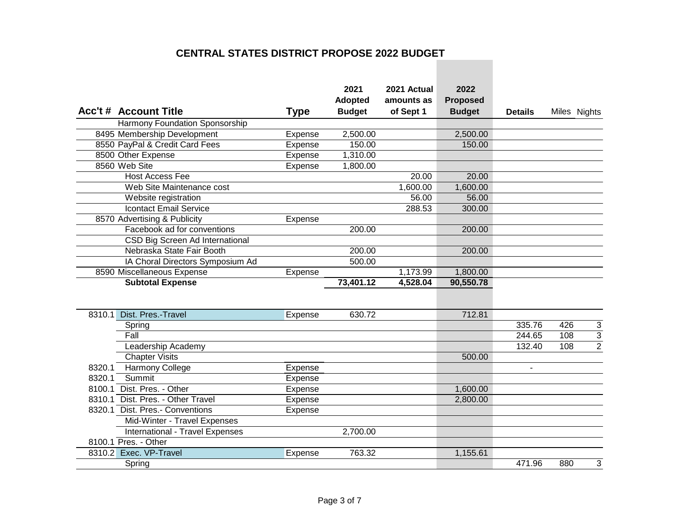|        | <b>Acc't # Account Title</b>     | <b>Type</b> | 2021<br><b>Adopted</b><br><b>Budget</b> | 2021 Actual<br>amounts as<br>of Sept 1 | 2022<br><b>Proposed</b><br><b>Budget</b> | <b>Details</b>           | Miles Nights          |
|--------|----------------------------------|-------------|-----------------------------------------|----------------------------------------|------------------------------------------|--------------------------|-----------------------|
|        | Harmony Foundation Sponsorship   |             |                                         |                                        |                                          |                          |                       |
|        | 8495 Membership Development      | Expense     | 2,500.00                                |                                        | 2,500.00                                 |                          |                       |
|        | 8550 PayPal & Credit Card Fees   | Expense     | 150.00                                  |                                        | 150.00                                   |                          |                       |
|        | 8500 Other Expense               | Expense     | 1,310.00                                |                                        |                                          |                          |                       |
|        | 8560 Web Site                    | Expense     | 1,800.00                                |                                        |                                          |                          |                       |
|        | <b>Host Access Fee</b>           |             |                                         | 20.00                                  | 20.00                                    |                          |                       |
|        | Web Site Maintenance cost        |             |                                         | 1,600.00                               | 1,600.00                                 |                          |                       |
|        | Website registration             |             |                                         | 56.00                                  | 56.00                                    |                          |                       |
|        | <b>Icontact Email Service</b>    |             |                                         | 288.53                                 | 300.00                                   |                          |                       |
|        | 8570 Advertising & Publicity     | Expense     |                                         |                                        |                                          |                          |                       |
|        | Facebook ad for conventions      |             | 200.00                                  |                                        | 200.00                                   |                          |                       |
|        | CSD Big Screen Ad International  |             |                                         |                                        |                                          |                          |                       |
|        | Nebraska State Fair Booth        |             | 200.00                                  |                                        | 200.00                                   |                          |                       |
|        | IA Choral Directors Symposium Ad |             | 500.00                                  |                                        |                                          |                          |                       |
|        | 8590 Miscellaneous Expense       | Expense     |                                         | 1,173.99                               | 1,800.00                                 |                          |                       |
|        | <b>Subtotal Expense</b>          |             | 73,401.12                               | 4,528.04                               | 90,550.78                                |                          |                       |
|        |                                  |             |                                         |                                        |                                          |                          |                       |
| 8310.1 | Dist. Pres.-Travel               | Expense     | 630.72                                  |                                        | 712.81                                   |                          |                       |
|        | Spring                           |             |                                         |                                        |                                          | 335.76                   | 426<br>$\sqrt{3}$     |
|        | Fall                             |             |                                         |                                        |                                          | 244.65                   | $\overline{3}$<br>108 |
|        | Leadership Academy               |             |                                         |                                        |                                          | 132.40                   | $\overline{2}$<br>108 |
|        | <b>Chapter Visits</b>            |             |                                         |                                        | 500.00                                   |                          |                       |
| 8320.1 | Harmony College                  | Expense     |                                         |                                        |                                          | $\overline{\phantom{a}}$ |                       |
| 8320.1 | Summit                           | Expense     |                                         |                                        |                                          |                          |                       |
| 8100.1 | Dist. Pres. - Other              | Expense     |                                         |                                        | 1,600.00                                 |                          |                       |
| 8310.1 | Dist. Pres. - Other Travel       | Expense     |                                         |                                        | 2,800.00                                 |                          |                       |
| 8320.1 | Dist. Pres.- Conventions         | Expense     |                                         |                                        |                                          |                          |                       |
|        | Mid-Winter - Travel Expenses     |             |                                         |                                        |                                          |                          |                       |
|        | International - Travel Expenses  |             | 2,700.00                                |                                        |                                          |                          |                       |
|        | 8100.1 Pres. - Other             |             |                                         |                                        |                                          |                          |                       |
|        | 8310.2 Exec. VP-Travel           | Expense     | 763.32                                  |                                        | 1,155.61                                 |                          |                       |
|        | Spring                           |             |                                         |                                        |                                          | 471.96                   | 880<br>3              |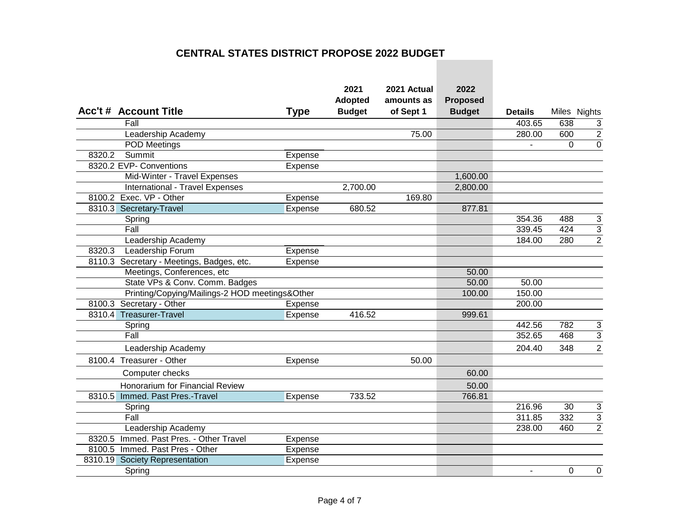| <b>Acc't # Account Title</b>                   | <b>Type</b>    | 2021<br>Adopted<br><b>Budget</b> | 2021 Actual<br>amounts as<br>of Sept 1 | 2022<br><b>Proposed</b><br><b>Budget</b> | <b>Details</b> |          | Miles Nights   |
|------------------------------------------------|----------------|----------------------------------|----------------------------------------|------------------------------------------|----------------|----------|----------------|
| Fall                                           |                |                                  |                                        |                                          | 403.65         | 638      | $\mathbf{3}$   |
| Leadership Academy                             |                |                                  | 75.00                                  |                                          | 280.00         | 600      | $\overline{2}$ |
| POD Meetings                                   |                |                                  |                                        |                                          | $\blacksquare$ | $\Omega$ | $\mathbf 0$    |
| 8320.2<br>Summit                               | Expense        |                                  |                                        |                                          |                |          |                |
| 8320.2 EVP- Conventions                        | Expense        |                                  |                                        |                                          |                |          |                |
| Mid-Winter - Travel Expenses                   |                |                                  |                                        | 1,600.00                                 |                |          |                |
| International - Travel Expenses                |                | 2,700.00                         |                                        | 2,800.00                                 |                |          |                |
| 8100.2 Exec. VP - Other                        | Expense        |                                  | 169.80                                 |                                          |                |          |                |
| 8310.3 Secretary-Travel                        | Expense        | 680.52                           |                                        | 877.81                                   |                |          |                |
| Spring                                         |                |                                  |                                        |                                          | 354.36         | 488      | 3              |
| Fall                                           |                |                                  |                                        |                                          | 339.45         | 424      | $\overline{3}$ |
| Leadership Academy                             |                |                                  |                                        |                                          | 184.00         | 280      | $\overline{2}$ |
| 8320.3<br>Leadership Forum                     | Expense        |                                  |                                        |                                          |                |          |                |
| 8110.3 Secretary - Meetings, Badges, etc.      | <b>Expense</b> |                                  |                                        |                                          |                |          |                |
| Meetings, Conferences, etc                     |                |                                  |                                        | 50.00                                    |                |          |                |
| State VPs & Conv. Comm. Badges                 |                |                                  |                                        | 50.00                                    | 50.00          |          |                |
| Printing/Copying/Mailings-2 HOD meetings&Other |                |                                  |                                        | 100.00                                   | 150.00         |          |                |
| 8100.3 Secretary - Other                       | Expense        |                                  |                                        |                                          | 200.00         |          |                |
| 8310.4 Treasurer-Travel                        | Expense        | 416.52                           |                                        | 999.61                                   |                |          |                |
| Spring                                         |                |                                  |                                        |                                          | 442.56         | 782      | 3              |
| Fall                                           |                |                                  |                                        |                                          | 352.65         | 468      | 3              |
| Leadership Academy                             |                |                                  |                                        |                                          | 204.40         | 348      | $\overline{2}$ |
| 8100.4 Treasurer - Other                       | Expense        |                                  | 50.00                                  |                                          |                |          |                |
| Computer checks                                |                |                                  |                                        | 60.00                                    |                |          |                |
| Honorarium for Financial Review                |                |                                  |                                        | 50.00                                    |                |          |                |
| 8310.5 Immed. Past Pres.-Travel                | Expense        | 733.52                           |                                        | 766.81                                   |                |          |                |
| Spring                                         |                |                                  |                                        |                                          | 216.96         | 30       | 3              |
| Fall                                           |                |                                  |                                        |                                          | 311.85         | 332      | $\overline{3}$ |
| Leadership Academy                             |                |                                  |                                        |                                          | 238.00         | 460      | $\overline{2}$ |
| 8320.5 Immed. Past Pres. - Other Travel        | Expense        |                                  |                                        |                                          |                |          |                |
| 8100.5 Immed. Past Pres - Other                | Expense        |                                  |                                        |                                          |                |          |                |
| 8310.19 Society Representation                 | Expense        |                                  |                                        |                                          |                |          |                |
| Spring                                         |                |                                  |                                        |                                          | $\blacksquare$ | $\Omega$ | $\pmb{0}$      |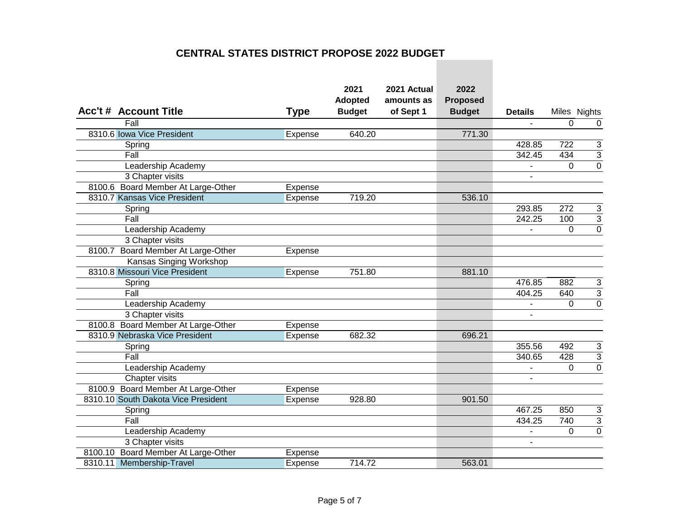| <b>Acc't # Account Title</b>        | <b>Type</b>    | 2021<br><b>Adopted</b><br><b>Budget</b> | 2021 Actual<br>amounts as<br>of Sept 1 | 2022<br><b>Proposed</b><br><b>Budget</b> | <b>Details</b>           |                | Miles Nights   |
|-------------------------------------|----------------|-----------------------------------------|----------------------------------------|------------------------------------------|--------------------------|----------------|----------------|
| Fall                                |                |                                         |                                        |                                          | $\overline{\phantom{a}}$ | 0              | $\mathbf 0$    |
| 8310.6 Iowa Vice President          | Expense        | 640.20                                  |                                        | 771.30                                   |                          |                |                |
| Spring                              |                |                                         |                                        |                                          | 428.85                   | 722            | 3              |
| Fall                                |                |                                         |                                        |                                          | 342.45                   | 434            | $\overline{3}$ |
| Leadership Academy                  |                |                                         |                                        |                                          | $\overline{a}$           | $\Omega$       | $\overline{0}$ |
| 3 Chapter visits                    |                |                                         |                                        |                                          | $\blacksquare$           |                |                |
| 8100.6 Board Member At Large-Other  | Expense        |                                         |                                        |                                          |                          |                |                |
| 8310.7 Kansas Vice President        | <b>Expense</b> | 719.20                                  |                                        | 536.10                                   |                          |                |                |
| Spring                              |                |                                         |                                        |                                          | 293.85                   | 272            | 3              |
| Fall                                |                |                                         |                                        |                                          | 242.25                   | 100            | 3              |
| Leadership Academy                  |                |                                         |                                        |                                          |                          | $\Omega$       | $\mathbf 0$    |
| 3 Chapter visits                    |                |                                         |                                        |                                          |                          |                |                |
| 8100.7 Board Member At Large-Other  | Expense        |                                         |                                        |                                          |                          |                |                |
| Kansas Singing Workshop             |                |                                         |                                        |                                          |                          |                |                |
| 8310.8 Missouri Vice President      | Expense        | 751.80                                  |                                        | 881.10                                   |                          |                |                |
| Spring                              |                |                                         |                                        |                                          | 476.85                   | 882            | 3              |
| Fall                                |                |                                         |                                        |                                          | 404.25                   | 640            | $\overline{3}$ |
| Leadership Academy                  |                |                                         |                                        |                                          | $\blacksquare$           | $\overline{0}$ | $\overline{0}$ |
| 3 Chapter visits                    |                |                                         |                                        |                                          |                          |                |                |
| 8100.8 Board Member At Large-Other  | Expense        |                                         |                                        |                                          |                          |                |                |
| 8310.9 Nebraska Vice President      | Expense        | 682.32                                  |                                        | 696.21                                   |                          |                |                |
| Spring                              |                |                                         |                                        |                                          | 355.56                   | 492            | 3              |
| Fall                                |                |                                         |                                        |                                          | 340.65                   | 428            | $\overline{3}$ |
| Leadership Academy                  |                |                                         |                                        |                                          | $\blacksquare$           | 0              | $\overline{0}$ |
| Chapter visits                      |                |                                         |                                        |                                          | $\blacksquare$           |                |                |
| 8100.9 Board Member At Large-Other  | Expense        |                                         |                                        |                                          |                          |                |                |
| 8310.10 South Dakota Vice President | Expense        | 928.80                                  |                                        | 901.50                                   |                          |                |                |
| Spring                              |                |                                         |                                        |                                          | 467.25                   | 850            | 3              |
| Fall                                |                |                                         |                                        |                                          | 434.25                   | 740            | $\overline{3}$ |
| Leadership Academy                  |                |                                         |                                        |                                          | $\blacksquare$           | 0              | $\overline{0}$ |
| 3 Chapter visits                    |                |                                         |                                        |                                          | $\overline{\phantom{a}}$ |                |                |
| 8100.10 Board Member At Large-Other | Expense        |                                         |                                        |                                          |                          |                |                |
| 8310.11<br>Membership-Travel        | Expense        | 714.72                                  |                                        | 563.01                                   |                          |                |                |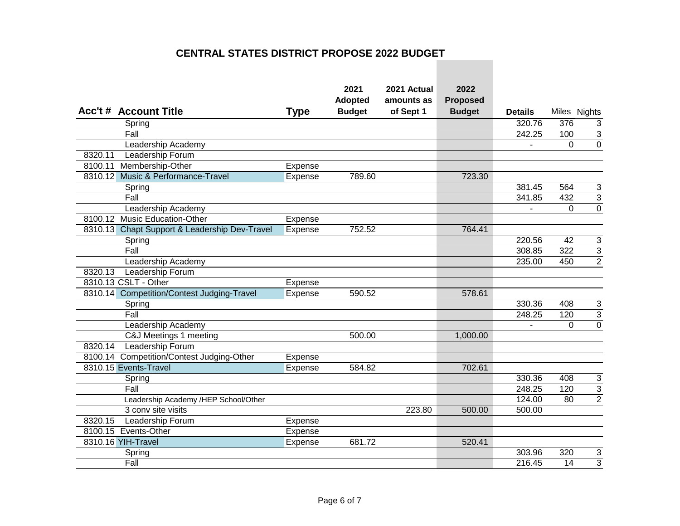| <b>Acc't # Account Title</b>                  | <b>Type</b> | 2021<br><b>Adopted</b><br><b>Budget</b> | 2021 Actual<br>amounts as<br>of Sept 1 | 2022<br><b>Proposed</b><br><b>Budget</b> | <b>Details</b> |             | Miles Nights              |
|-----------------------------------------------|-------------|-----------------------------------------|----------------------------------------|------------------------------------------|----------------|-------------|---------------------------|
| Spring                                        |             |                                         |                                        |                                          | 320.76         | 376         | $\mathsf 3$               |
| Fall                                          |             |                                         |                                        |                                          | 242.25         | 100         | $\overline{3}$            |
| Leadership Academy                            |             |                                         |                                        |                                          |                | $\Omega$    | $\overline{0}$            |
| 8320.11<br>Leadership Forum                   |             |                                         |                                        |                                          |                |             |                           |
| Membership-Other<br>8100.11                   | Expense     |                                         |                                        |                                          |                |             |                           |
| 8310.12 Music & Performance-Travel            | Expense     | 789.60                                  |                                        | 723.30                                   |                |             |                           |
| Spring                                        |             |                                         |                                        |                                          | 381.45         | 564         | 3                         |
| Fall                                          |             |                                         |                                        |                                          | 341.85         | 432         | $\ensuremath{\mathsf{3}}$ |
| Leadership Academy                            |             |                                         |                                        |                                          |                | $\mathbf 0$ | $\overline{0}$            |
| 8100.12 Music Education-Other                 | Expense     |                                         |                                        |                                          |                |             |                           |
| 8310.13 Chapt Support & Leadership Dev-Travel | Expense     | 752.52                                  |                                        | 764.41                                   |                |             |                           |
| Spring                                        |             |                                         |                                        |                                          | 220.56         | 42          | $\ensuremath{\mathsf{3}}$ |
| Fall                                          |             |                                         |                                        |                                          | 308.85         | 322         | $\overline{3}$            |
| Leadership Academy                            |             |                                         |                                        |                                          | 235.00         | 450         | $\overline{2}$            |
| 8320.13<br>Leadership Forum                   |             |                                         |                                        |                                          |                |             |                           |
| 8310.13 CSLT - Other                          | Expense     |                                         |                                        |                                          |                |             |                           |
| 8310.14 Competition/Contest Judging-Travel    | Expense     | 590.52                                  |                                        | 578.61                                   |                |             |                           |
| Spring                                        |             |                                         |                                        |                                          | 330.36         | 408         | 3                         |
| Fall                                          |             |                                         |                                        |                                          | 248.25         | 120         | $\overline{3}$            |
| Leadership Academy                            |             |                                         |                                        |                                          |                | $\Omega$    | $\overline{0}$            |
| C&J Meetings 1 meeting                        |             | 500.00                                  |                                        | 1,000.00                                 |                |             |                           |
| Leadership Forum<br>8320.14                   |             |                                         |                                        |                                          |                |             |                           |
| 8100.14 Competition/Contest Judging-Other     | Expense     |                                         |                                        |                                          |                |             |                           |
| 8310.15 Events-Travel                         | Expense     | 584.82                                  |                                        | 702.61                                   |                |             |                           |
| Spring                                        |             |                                         |                                        |                                          | 330.36         | 408         | 3                         |
| Fall                                          |             |                                         |                                        |                                          | 248.25         | 120         | $\overline{\mathbf{3}}$   |
| Leadership Academy /HEP School/Other          |             |                                         |                                        |                                          | 124.00         | 80          | $\overline{2}$            |
| 3 conv site visits                            |             |                                         | 223.80                                 | 500.00                                   | 500.00         |             |                           |
| 8320.15<br>Leadership Forum                   | Expense     |                                         |                                        |                                          |                |             |                           |
| 8100.15 Events-Other                          | Expense     |                                         |                                        |                                          |                |             |                           |
| 8310.16 YIH-Travel                            | Expense     | 681.72                                  |                                        | 520.41                                   |                |             |                           |
| Spring                                        |             |                                         |                                        |                                          | 303.96         | 320         | 3                         |
| Fall                                          |             |                                         |                                        |                                          | 216.45         | 14          | 3                         |